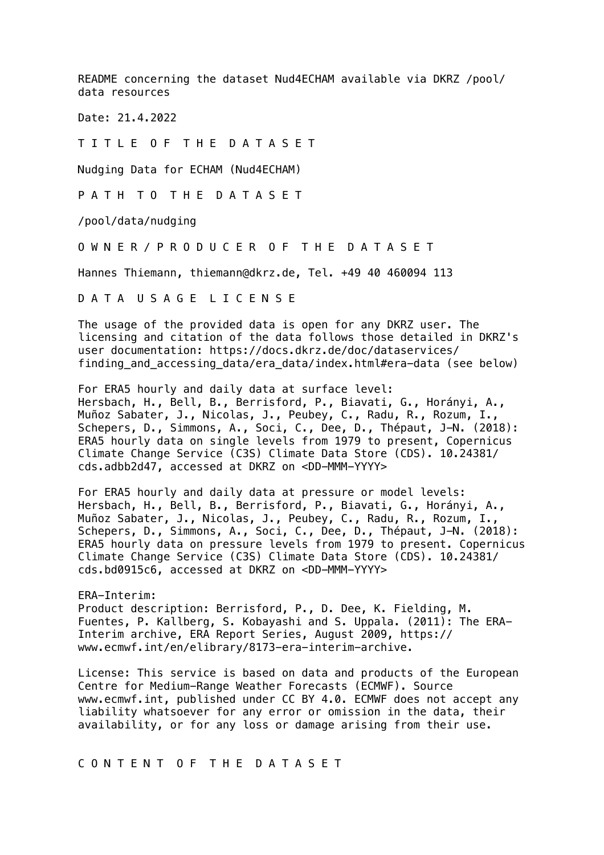README concerning the dataset Nud4ECHAM available via DKRZ /pool/ data resources

Date: 21.4.2022

T I T L E O F T H E D A T A S E T

Nudging Data for ECHAM (Nud4ECHAM)

P A T H T O T H E D A T A S E T

/pool/data/nudging

O W N E R / P R O D U C E R O F T H E D A T A S E T

Hannes Thiemann, thiemann@dkrz.de, Tel. +49 40 460094 113

D A T A U S A G E L I C E N S E

The usage of the provided data is open for any DKRZ user. The licensing and citation of the data follows those detailed in DKRZ's user documentation: https://docs.dkrz.de/doc/dataservices/ finding and accessing data/era data/index.html#era-data (see below)

For ERA5 hourly and daily data at surface level: Hersbach, H., Bell, B., Berrisford, P., Biavati, G., Horányi, A., Muñoz Sabater, J., Nicolas, J., Peubey, C., Radu, R., Rozum, I., Schepers, D., Simmons, A., Soci, C., Dee, D., Thépaut, J-N. (2018): ERA5 hourly data on single levels from 1979 to present, Copernicus Climate Change Service (C3S) Climate Data Store (CDS). 10.24381/ cds.adbb2d47, accessed at DKRZ on <DD-MMM-YYYY>

For ERA5 hourly and daily data at pressure or model levels: Hersbach, H., Bell, B., Berrisford, P., Biavati, G., Horányi, A., Muñoz Sabater, J., Nicolas, J., Peubey, C., Radu, R., Rozum, I., Schepers, D., Simmons, A., Soci, C., Dee, D., Thépaut, J-N. (2018): ERA5 hourly data on pressure levels from 1979 to present. Copernicus Climate Change Service (C3S) Climate Data Store (CDS). 10.24381/ cds.bd0915c6, accessed at DKRZ on <DD-MMM-YYYY>

ERA-Interim: Product description: Berrisford, P., D. Dee, K. Fielding, M. Fuentes, P. Kallberg, S. Kobayashi and S. Uppala. (2011): The ERA-Interim archive, ERA Report Series, August 2009, https:// www.ecmwf.int/en/elibrary/8173-era-interim-archive.

License: This service is based on data and products of the European Centre for Medium-Range Weather Forecasts (ECMWF). Source www.ecmwf.int, published under CC BY 4.0. ECMWF does not accept any liability whatsoever for any error or omission in the data, their availability, or for any loss or damage arising from their use.

C O N T E N T O F T H E D A T A S E T